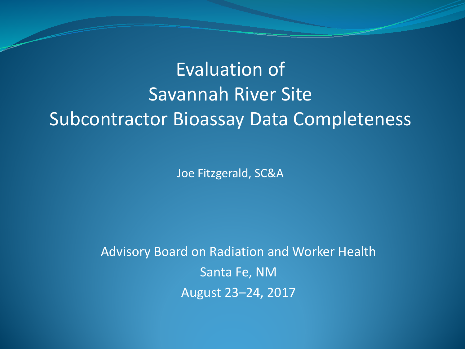#### Evaluation of Savannah River Site Subcontractor Bioassay Data Completeness

Joe Fitzgerald, SC&A

Advisory Board on Radiation and Worker Health Santa Fe, NM August 23–24, 2017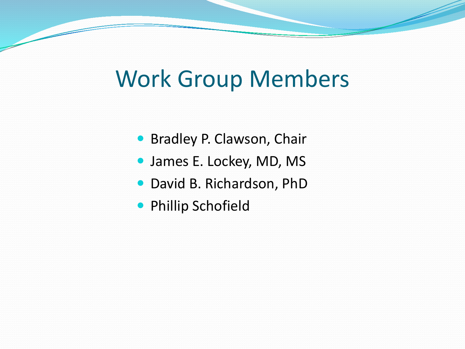### Work Group Members

- **Bradley P. Clawson, Chair**
- James E. Lockey, MD, MS
- David B. Richardson, PhD
- **Phillip Schofield**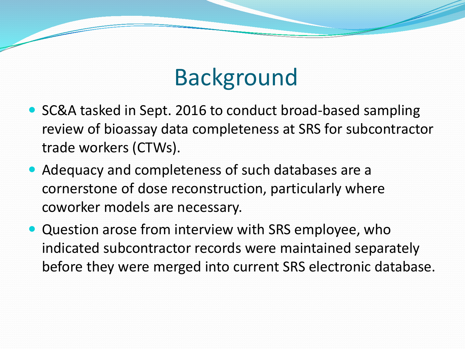# Background

- SC&A tasked in Sept. 2016 to conduct broad-based sampling review of bioassay data completeness at SRS for subcontractor trade workers (CTWs).
- Adequacy and completeness of such databases are a cornerstone of dose reconstruction, particularly where coworker models are necessary.
- Question arose from interview with SRS employee, who indicated subcontractor records were maintained separately before they were merged into current SRS electronic database.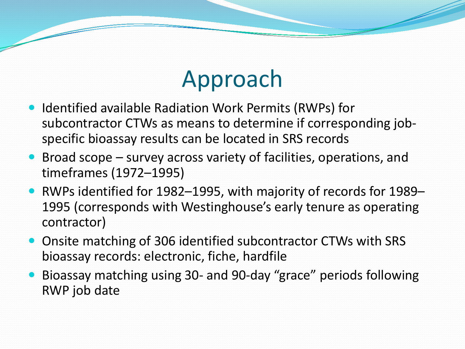# Approach

- Identified available Radiation Work Permits (RWPs) for subcontractor CTWs as means to determine if corresponding jobspecific bioassay results can be located in SRS records
- Broad scope survey across variety of facilities, operations, and timeframes (1972–1995)
- RWPs identified for 1982–1995, with majority of records for 1989– 1995 (corresponds with Westinghouse's early tenure as operating contractor)
- Onsite matching of 306 identified subcontractor CTWs with SRS bioassay records: electronic, fiche, hardfile
- Bioassay matching using 30- and 90-day "grace" periods following RWP job date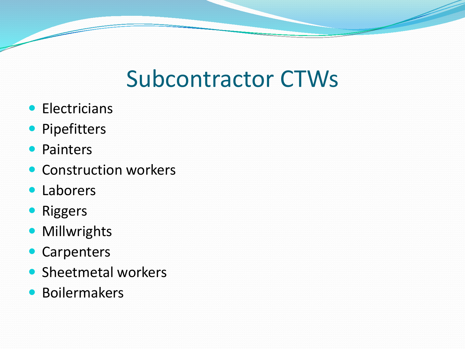# Subcontractor CTWs

- **•** Electricians
- Pipefitters
- Painters
- Construction workers
- Laborers
- Riggers
- **Millwrights**
- Carpenters
- Sheetmetal workers
- **Boilermakers**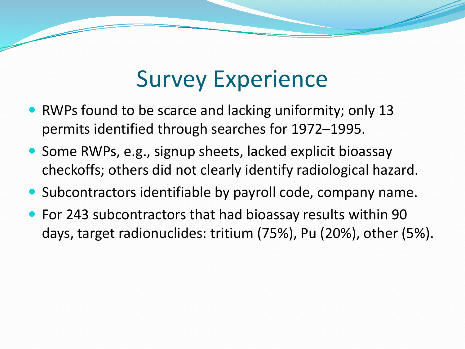### Survey Experience

- RWPs found to be scarce and lacking uniformity; only 13 permits identified through searches for 1972–1995.
- Some RWPs, e.g., signup sheets, lacked explicit bioassay checkoffs; others did not clearly identify radiological hazard.
- Subcontractors identifiable by payroll code, company name.
- For 243 subcontractors that had bioassay results within 90 days, target radionuclides: tritium (75%), Pu (20%), other (5%).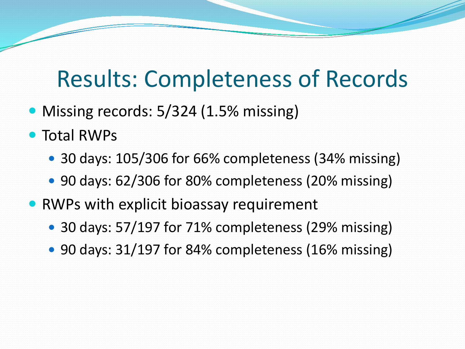#### Results: Completeness of Records

- Missing records: 5/324 (1.5% missing)
- Total RWPs
	- 30 days: 105/306 for 66% completeness (34% missing)
	- 90 days: 62/306 for 80% completeness (20% missing)
- RWPs with explicit bioassay requirement
	- 30 days: 57/197 for 71% completeness (29% missing)
	- 90 days: 31/197 for 84% completeness (16% missing)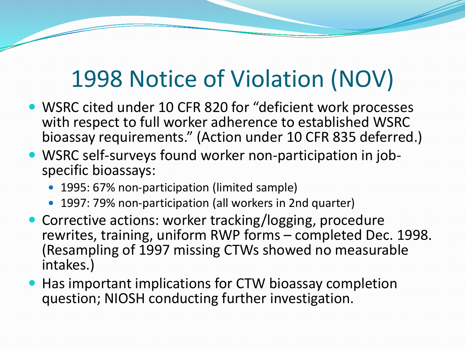# 1998 Notice of Violation (NOV)

- WSRC cited under 10 CFR 820 for "deficient work processes with respect to full worker adherence to established WSRC bioassay requirements." (Action under 10 CFR 835 deferred.)
- WSRC self-surveys found worker non-participation in job- specific bioassays:
	- 1995: 67% non-participation (limited sample)
	- 1997: 79% non-participation (all workers in 2nd quarter)
- Corrective actions: worker tracking/logging, procedure rewrites, training, uniform RWP forms – completed Dec. 1998. (Resampling of 1997 missing CTWs showed no measurable intakes.)
- Has important implications for CTW bioassay completion question; NIOSH conducting further investigation.